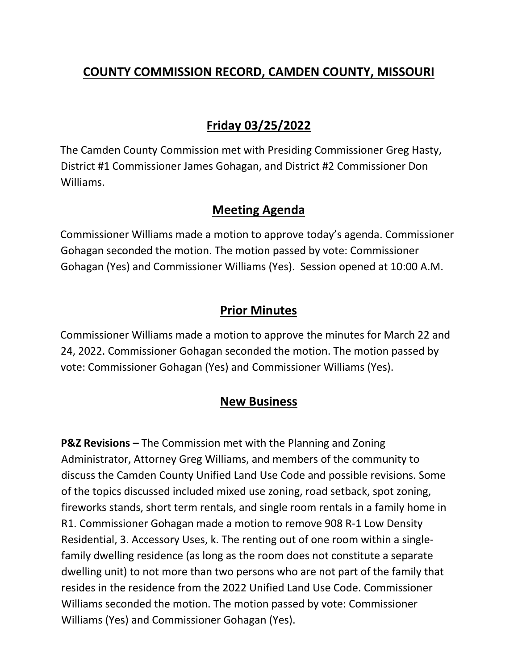## **COUNTY COMMISSION RECORD, CAMDEN COUNTY, MISSOURI**

# **Friday 03/25/2022**

The Camden County Commission met with Presiding Commissioner Greg Hasty, District #1 Commissioner James Gohagan, and District #2 Commissioner Don Williams.

#### **Meeting Agenda**

Commissioner Williams made a motion to approve today's agenda. Commissioner Gohagan seconded the motion. The motion passed by vote: Commissioner Gohagan (Yes) and Commissioner Williams (Yes). Session opened at 10:00 A.M.

### **Prior Minutes**

Commissioner Williams made a motion to approve the minutes for March 22 and 24, 2022. Commissioner Gohagan seconded the motion. The motion passed by vote: Commissioner Gohagan (Yes) and Commissioner Williams (Yes).

## **New Business**

**P&Z Revisions –** The Commission met with the Planning and Zoning Administrator, Attorney Greg Williams, and members of the community to discuss the Camden County Unified Land Use Code and possible revisions. Some of the topics discussed included mixed use zoning, road setback, spot zoning, fireworks stands, short term rentals, and single room rentals in a family home in R1. Commissioner Gohagan made a motion to remove 908 R-1 Low Density Residential, 3. Accessory Uses, k. The renting out of one room within a singlefamily dwelling residence (as long as the room does not constitute a separate dwelling unit) to not more than two persons who are not part of the family that resides in the residence from the 2022 Unified Land Use Code. Commissioner Williams seconded the motion. The motion passed by vote: Commissioner Williams (Yes) and Commissioner Gohagan (Yes).